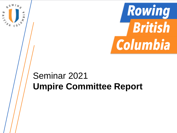

# Seminar 2021 **Umpire Committee Report**

Ξ

**TAN CONT** 

œ,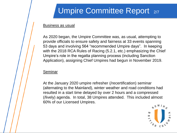# Umpire Committee Report 2/7

#### Business as usual

As 2020 began, the Umpire Committee was, as usual, attempting to provide officials to ensure safety and fairness at 33 events spanning 53 days and involving 564 "recommended Umpire days". In keeping with the 2018 RCA Rules of Racing (5.2.1, etc.) emphasizing the Chief Umpire's role in the regatta planning process (including Sanction Application), assigning Chief Umpires had begun in November 2019.

#### Seminar

At the January 2020 umpire refresher (/recertification) seminar (alternating to the Mainland), winter weather and road conditions had resulted in a start time delayed by over 2 hours and a compressed (/lively) agenda. In total, 38 Umpires attended. This included almost 60% of our Licensed Umpires.

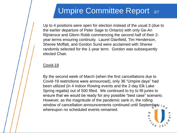### Umpire Committee Report 3/7

Up to 4 positions were open for election instead of the usual 3 (due to the earlier departure of Peter Sage to Ontario) with only Ge-An Rijniersce and Glenn Robb commencing the second half of their 2 year terms ensuring continuity. Laurel Glanfield, Tim Henderson, Sheree Moffatt, and Gordon Sund were acclaimed with Sheree randomly selected for the 1-year term. Gordon was subsequently elected Chair.

### Covid-19

By the second week of March (when the first cancellations due to Covid-19 restrictions were announced), only 36 "Umpire days" had been utilized (in 4 Indoor Rowing events and the 2-day Elk Lake Spring regatta) out of 500 filled. We continued to try to fill juries to ensure that we would be ready for any possible "best case" scenario. However, as the magnitude of the pandemic sank in, the rolling window of cancellation announcements continued until September in whereupon no scheduled events remained.

Ε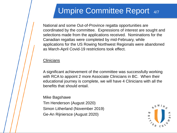## Umpire Committee Report 4/7

National and some Out-of-Province regatta opportunities are coordinated by the committee. Expressions of interest are sought and selections made from the applications received. Nominations for the Canadian regattas were completed by mid-February, while applications for the US Rowing Northwest Regionals were abandoned as March-April Covid-19 restrictions took effect.

#### **Clinicians**

A significant achievement of the committee was successfully working with RCA to appoint 2 more Associate Clinicians in BC. When their educational journey is complete, we will have 4 Clinicians with all the benefits that should entail.

Mike Bagshawe Tim Henderson (August 2020) Simon Litherland (November 2019) Ge-An Rijniersce (August 2020)

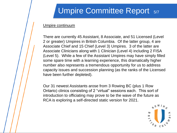## Umpire Committee Report 5/7

#### Umpire continuum

There are currently 45 Assistant, 8 Associate, and 51 Licensed (Level 2 or greater) Umpires in British Columbia. Of the latter group, 4 are Associate Chief and 15 Chief (Level 3) Umpires. 3 of the latter are Associate Clinicians along with 1 Clinician (Level 4) including 2 FISA (Level 5). While a few of the Assistant Umpires may have simply filled some spare time with a learning experience, this dramatically higher number also represents a tremendous opportunity for us to address capacity issues and succession planning (as the ranks of the Licensed have been further depleted).

Our 31 newest Assistants arose from 3 Rowing BC (plus 1 Row Ontario) clinics consisting of 2 "virtual" sessions each. This sort of introduction to officiating may prove to be the wave of the future as RCA is exploring a self-directed static version for 2021.

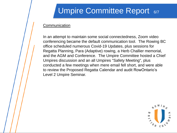# Umpire Committee Report 6/7

### **Communication**

In an attempt to maintain some social connectedness, Zoom video conferencing became the default communication tool. The Rowing BC office scheduled numerous Covid-19 Updates, plus sessions for Regatta Planning, Para (Adaptive) rowing, a Herb Challier memorial, and the AGM and Conference. The Umpire Committee hosted a Chief Umpires discussion and an all Umpires "Safety Meeting", plus conducted a few meetings when mere email fell short, and were able to review the Proposed Regatta Calendar and audit RowOntario's Level 2 Umpire Seminar.